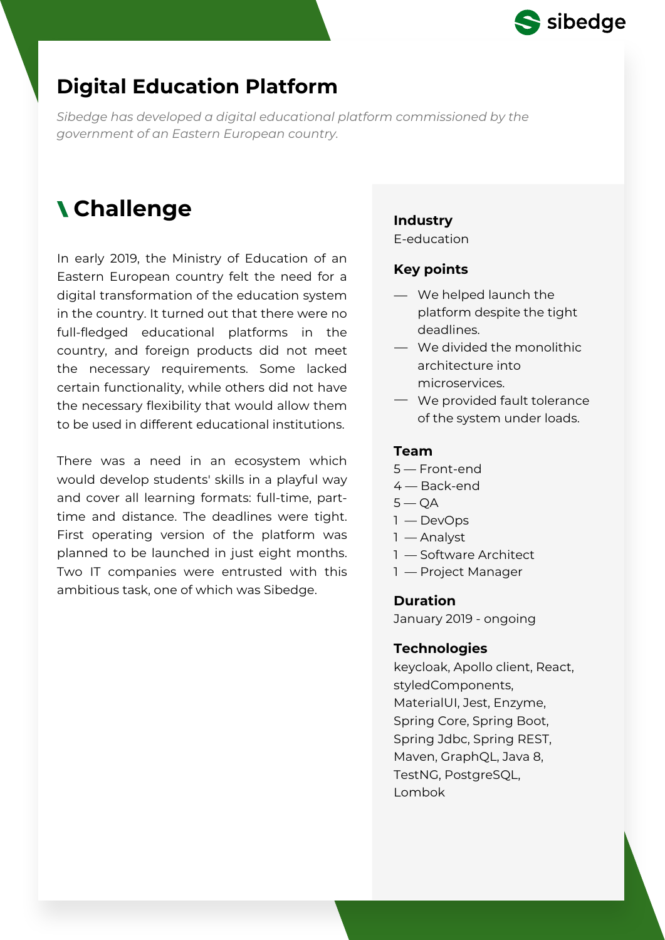

# **Digital Education Platform**

*Sibedge has developed a digital educational platform commissioned by the government of an Eastern European country.*

# **Challenge Industry**

In early 2019, the Ministry of Education of an Eastern European country felt the need for a digital transformation of the education system in the country. It turned out that there were no full-fledged educational platforms in the country, and foreign products did not meet the necessary requirements. Some lacked certain functionality, while others did not have the necessary flexibility that would allow them to be used in different educational institutions.

There was a need in an ecosystem which would develop students' skills in a playful way and cover all learning formats: full-time, parttime and distance. The deadlines were tight. First operating version of the platform was planned to be launched in just eight months. Two IT companies were entrusted with this ambitious task, one of which was Sibedge.

E-education

### **Key points**

- We helped launch the platform despite the tight deadlines.
- We divided the monolithic architecture into microservices.
- We provided fault tolerance of the system under loads.

#### **Team**

- 5 Front-end
- 4 Back-end
- $5 OA$
- 1 DevOps
- 1 Analyst
- 1 Software Architect
- 1 Project Manager

### **Duration**

January 2019 - ongoing

#### **Technologies**

keycloak, Apollo client, React, styledComponents, MaterialUI, Jest, Enzyme, Spring Core, Spring Boot, Spring Jdbc, Spring REST, Maven, GraphQL, Java 8, TestNG, PostgreSQL, Lombok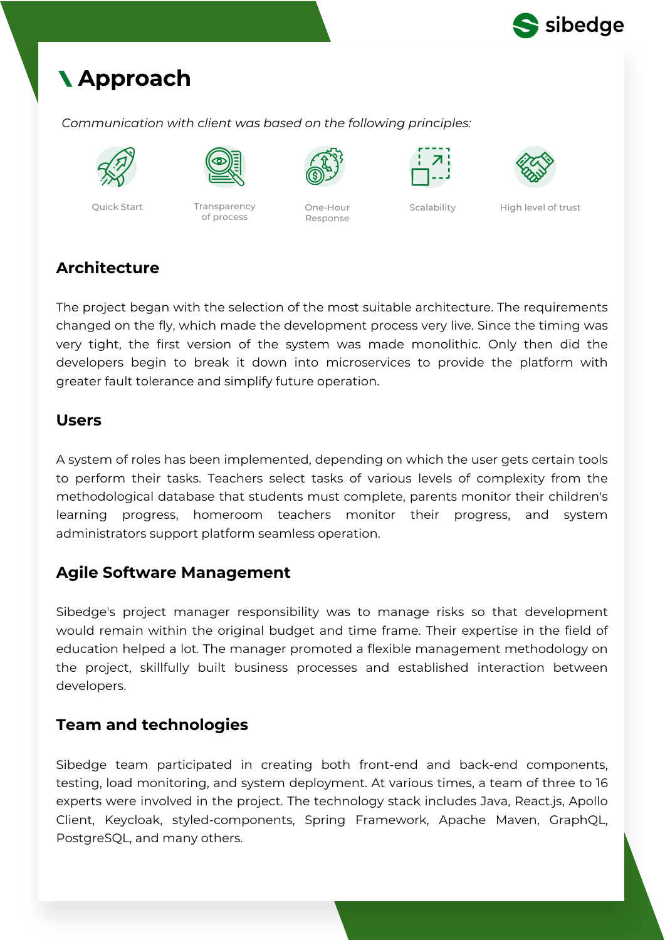

# **Approach**

*Communication with client was based on the following principles:*



Quick Start Transparency



of process



One-Hour Response



Scalability High level of trust

# **Architecture**

The project began with the selection of the most suitable architecture. The requirements changed on the fly, which made the development process very live. Since the timing was very tight, the first version of the system was made monolithic. Only then did the developers begin to break it down into microservices to provide the platform with greater fault tolerance and simplify future operation.

### **Users**

A system of roles has been implemented, depending on which the user gets certain tools to perform their tasks. Teachers select tasks of various levels of complexity from the methodological database that students must complete, parents monitor their children's learning progress, homeroom teachers monitor their progress, and system administrators support platform seamless operation.

## **Agile Software Management**

Sibedge's project manager responsibility was to manage risks so that development would remain within the original budget and time frame. Their expertise in the field of education helped a lot. The manager promoted a flexible management methodology on the project, skillfully built business processes and established interaction between developers.

## **Team and technologies**

Sibedge team participated in creating both front-end and back-end components, testing, load monitoring, and system deployment. At various times, a team of three to 16 experts were involved in the project. The technology stack includes Java, React.js, Apollo Client, Keycloak, styled-components, Spring Framework, Apache Maven, GraphQL, PostgreSQL, and many others.